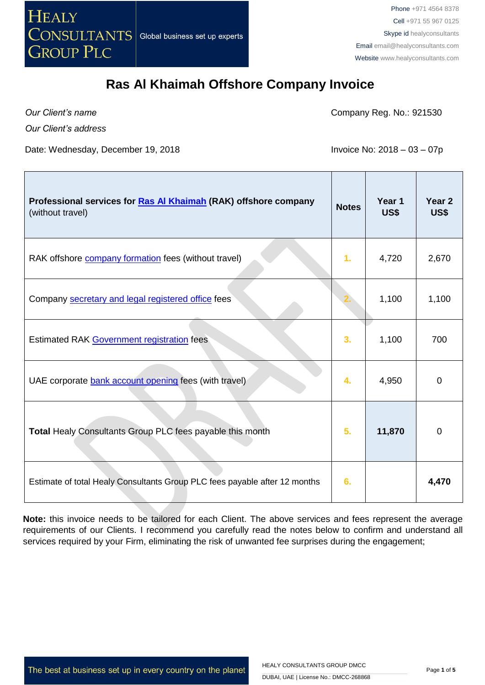

*Our Client's name*

Г

Company Reg. No.: 921530

*Our Client's address*

Date: Wednesday, December 19, 2018 **Invoice No: 2018** - 03 - 07p

| Professional services for Ras Al Khaimah (RAK) offshore company<br>(without travel) | <b>Notes</b> | Year 1<br>US\$ | Year <sub>2</sub><br>US\$ |
|-------------------------------------------------------------------------------------|--------------|----------------|---------------------------|
| RAK offshore company formation fees (without travel)                                | 1.           | 4,720          | 2,670                     |
| Company secretary and legal registered office fees                                  |              | 1,100          | 1,100                     |
| Estimated RAK Government registration fees                                          | 3.           | 1,100          | 700                       |
| UAE corporate bank account opening fees (with travel)                               | 4.           | 4,950          | 0                         |
| Total Healy Consultants Group PLC fees payable this month                           | 5.           | 11,870         | 0                         |
| Estimate of total Healy Consultants Group PLC fees payable after 12 months          | 6.           |                | 4,470                     |

**Note:** this invoice needs to be tailored for each Client. The above services and fees represent the average requirements of our Clients. I recommend you carefully read the notes below to confirm and understand all services required by your Firm, eliminating the risk of unwanted fee surprises during the engagement;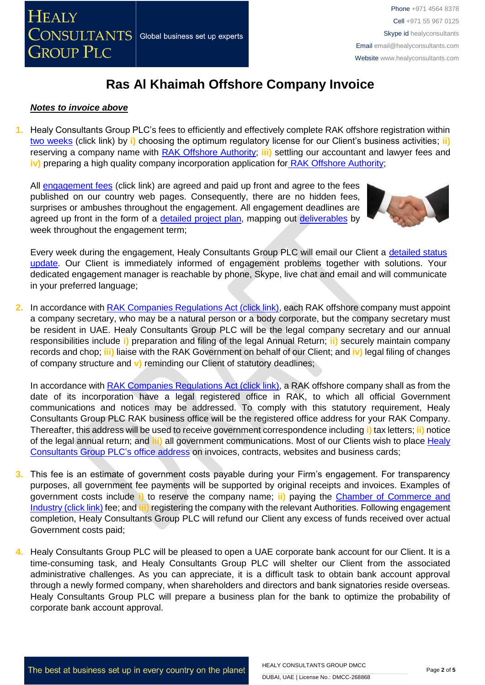

### *Notes to invoice above*

**1.** Healy Consultants Group PLC's fees to efficiently and effectively complete RAK offshore registration within two [weeks](http://www.healyconsultants.com/ras-al-khaimah-free-zone/fees-timelines/#timelines) (click link) by **i)** choosing the optimum regulatory license for our Client's business activities; **ii)** reserving a company name with [RAK Offshore Authority;](http://www.rakoffshore.org/) **iii)** settling our accountant and lawyer fees and **iv)** preparing a high quality company incorporation application for [RAK Offshore](http://www.rakoffshore.org/) Authority;

All [engagement fees](http://www.healyconsultants.com/company-registration-fees/) (click link) are agreed and paid up front and agree to the fees published on our country web pages. Consequently, there are no hidden fees, surprises or ambushes throughout the engagement. All engagement deadlines are agreed up front in the form of a [detailed project plan,](http://www.healyconsultants.com/index-important-links/example-project-plan/) mapping out [deliverables](http://www.healyconsultants.com/deliverables-to-our-clients/) by week throughout the engagement term;



Every week during the engagement, Healy Consultants Group PLC will email our Client a detailed status [update.](http://www.healyconsultants.com/index-important-links/weekly-engagement-status-email/) Our Client is immediately informed of engagement problems together with solutions. Your dedicated engagement manager is reachable by phone, Skype, live chat and email and will communicate in your preferred language;

**2.** In accordance with [RAK Companies Regulations Act \(click link\),](http://gws-offshore.com/wp-content/uploads/2014/01/RAK-International-Companies-Regulations-2006-a.pdf) each RAK offshore company must appoint a company secretary, who may be a natural person or a body corporate, but the company secretary must be resident in UAE. Healy Consultants Group PLC will be the legal company secretary and our annual responsibilities include **i)** preparation and filing of the legal Annual Return; **ii)** securely maintain company records and chop; **iii)** liaise with the RAK Government on behalf of our Client; and **iv)** legal filing of changes of company structure and **v)** reminding our Client of statutory deadlines;

In accordance with [RAK Companies Regulations Act \(click link\),](http://gws-offshore.com/wp-content/uploads/2014/01/RAK-International-Companies-Regulations-2006-a.pdf) a RAK offshore company shall as from the date of its incorporation have a legal registered office in RAK, to which all official Government communications and notices may be addressed. To comply with this statutory requirement, Healy Consultants Group PLC RAK business office will be the registered office address for your RAK Company. Thereafter, this address will be used to receive government correspondence including **i)** tax letters; **ii)** notice of the legal annual return; and **iii)** all government communications. Most of our Clients wish to place [Healy](http://www.healyconsultants.com/corporate-outsourcing-services/company-secretary-and-legal-registered-office/)  [Consultants Group PLC's](http://www.healyconsultants.com/corporate-outsourcing-services/company-secretary-and-legal-registered-office/) office address on invoices, contracts, websites and business cards;

- **3.** This fee is an estimate of government costs payable during your Firm's engagement. For transparency purposes, all government fee payments will be supported by original receipts and invoices. Examples of government costs include **i)** to reserve the company name; **ii)** paying the [Chamber of Commerce and](http://www.rakchamber.ae/)  [Industry \(click link\)](http://www.rakchamber.ae/) fee; and **iii)** registering the company with the relevant Authorities. Following engagement completion, Healy Consultants Group PLC will refund our Client any excess of funds received over actual Government costs paid;
- **4.** Healy Consultants Group PLC will be pleased to open a UAE corporate bank account for our Client. It is a time-consuming task, and Healy Consultants Group PLC will shelter our Client from the associated administrative challenges. As you can appreciate, it is a difficult task to obtain bank account approval through a newly formed company, when shareholders and directors and bank signatories reside overseas. Healy Consultants Group PLC will prepare a business plan for the bank to optimize the probability of corporate bank account approval.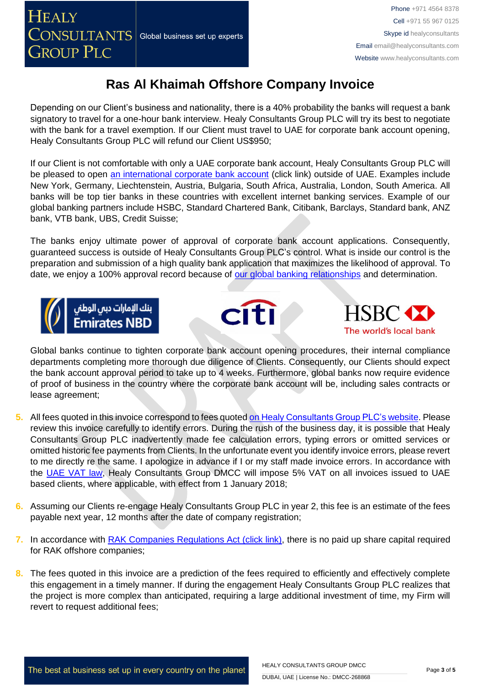Depending on our Client's business and nationality, there is a 40% probability the banks will request a bank signatory to travel for a one-hour bank interview. Healy Consultants Group PLC will try its best to negotiate with the bank for a travel exemption. If our Client must travel to UAE for corporate bank account opening, Healy Consultants Group PLC will refund our Client US\$950;

If our Client is not comfortable with only a UAE corporate bank account, Healy Consultants Group PLC will be pleased to open [an international corporate bank account](http://www.healyconsultants.com/international-banking/) (click link) outside of UAE. Examples include New York, Germany, Liechtenstein, Austria, Bulgaria, South Africa, Australia, London, South America. All banks will be top tier banks in these countries with excellent internet banking services. Example of our global banking partners include HSBC, Standard Chartered Bank, Citibank, Barclays, Standard bank, ANZ bank, VTB bank, UBS, Credit Suisse;

The banks enjoy ultimate power of approval of corporate bank account applications. Consequently, guaranteed success is outside of Healy Consultants Group PLC's control. What is inside our control is the preparation and submission of a high quality bank application that maximizes the likelihood of approval. To date, we enjoy a 100% approval record because of [our global banking relationships](http://www.healyconsultants.com/international-banking/corporate-accounts/) and determination.







Global banks continue to tighten corporate bank account opening procedures, their internal compliance departments completing more thorough due diligence of Clients. Consequently, our Clients should expect the bank account approval period to take up to 4 weeks. Furthermore, global banks now require evidence of proof of business in the country where the corporate bank account will be, including sales contracts or lease agreement;

- **5.** All fees quoted in this invoice correspond to fees quoted [on Healy Consultants Group PLC's](http://www.healyconsultants.com/company-registration-fees/) website. Please review this invoice carefully to identify errors. During the rush of the business day, it is possible that Healy Consultants Group PLC inadvertently made fee calculation errors, typing errors or omitted services or omitted historic fee payments from Clients. In the unfortunate event you identify invoice errors, please revert to me directly re the same. I apologize in advance if I or my staff made invoice errors. In accordance with the [UAE VAT law,](https://www.tax.gov.ae/legislation.aspx) Healy Consultants Group DMCC will impose 5% VAT on all invoices issued to UAE based clients, where applicable, with effect from 1 January 2018;
- **6.** Assuming our Clients re-engage Healy Consultants Group PLC in year 2, this fee is an estimate of the fees payable next year, 12 months after the date of company registration;
- **7.** In accordance with [RAK Companies Regulations Act \(click link\),](http://gws-offshore.com/wp-content/uploads/2014/01/RAK-International-Companies-Regulations-2006-a.pdf) there is no paid up share capital required for RAK offshore companies;
- **8.** The fees quoted in this invoice are a prediction of the fees required to efficiently and effectively complete this engagement in a timely manner. If during the engagement Healy Consultants Group PLC realizes that the project is more complex than anticipated, requiring a large additional investment of time, my Firm will revert to request additional fees;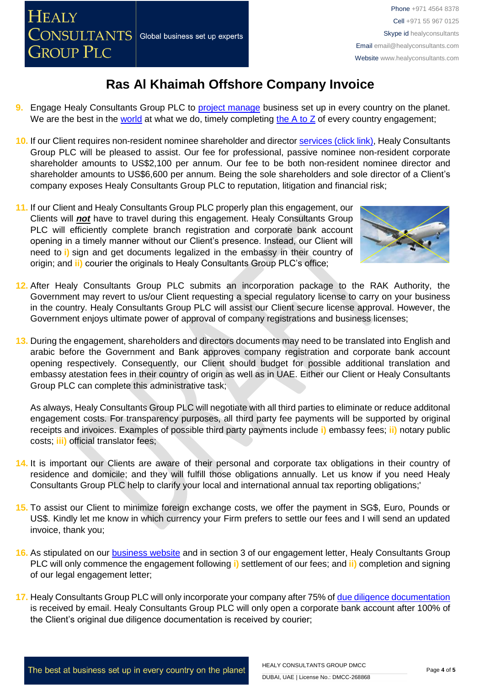- **9.** Engage Healy Consultants Group PLC to [project manage](http://www.healyconsultants.com/project-manage-engagements/) business set up in every country on the planet. We are the best in the [world](http://www.healyconsultants.com/best-in-the-world/) at what we do, timely completing the  $A$  to  $Z$  of every country engagement;
- **10.** If our Client requires non-resident nominee shareholder and director services [\(click link\),](http://www.healyconsultants.com/corporate-outsourcing-services/nominee-shareholders-directors/) Healy Consultants Group PLC will be pleased to assist. Our fee for professional, passive nominee non-resident corporate shareholder amounts to US\$2,100 per annum. Our fee to be both non-resident nominee director and shareholder amounts to US\$6,600 per annum. Being the sole shareholders and sole director of a Client's company exposes Healy Consultants Group PLC to reputation, litigation and financial risk;
- **11.** If our Client and Healy Consultants Group PLC properly plan this engagement, our Clients will *not* have to travel during this engagement. Healy Consultants Group PLC will efficiently complete branch registration and corporate bank account opening in a timely manner without our Client's presence. Instead, our Client will need to **i)** sign and get documents legalized in the embassy in their country of origin; and **ii)** courier the originals to Healy Consultants Group PLC's office;



- **12.** After Healy Consultants Group PLC submits an incorporation package to the RAK Authority, the Government may revert to us/our Client requesting a special regulatory license to carry on your business in the country. Healy Consultants Group PLC will assist our Client secure license approval. However, the Government enjoys ultimate power of approval of company registrations and business licenses;
- **13.** During the engagement, shareholders and directors documents may need to be translated into English and arabic before the Government and Bank approves company registration and corporate bank account opening respectively. Consequently, our Client should budget for possible additional translation and embassy atestation fees in their country of origin as well as in UAE. Either our Client or Healy Consultants Group PLC can complete this administrative task;

As always, Healy Consultants Group PLC will negotiate with all third parties to eliminate or reduce additonal engagement costs. For transparency purposes, all third party fee payments will be supported by original receipts and invoices. Examples of possible third party payments include **i)** embassy fees; **ii)** notary public costs; **iii)** official translator fees;

- **14.** It is important our Clients are aware of their personal and corporate tax obligations in their country of residence and domicile; and they will fulfill those obligations annually. Let us know if you need Healy Consultants Group PLC help to clarify your local and international annual tax reporting obligations;'
- **15.** To assist our Client to minimize foreign exchange costs, we offer the payment in SG\$, Euro, Pounds or US\$. Kindly let me know in which currency your Firm prefers to settle our fees and I will send an updated invoice, thank you;
- **16.** As stipulated on our [business website](http://www.healyconsultants.com/) and in section 3 of our engagement letter, Healy Consultants Group PLC will only commence the engagement following **i)** settlement of our fees; and **ii)** completion and signing of our legal engagement letter;
- **17.** Healy Consultants Group PLC will only incorporate your company after 75% of [due diligence documentation](http://www.healyconsultants.com/due-diligence/) is received by email. Healy Consultants Group PLC will only open a corporate bank account after 100% of the Client's original due diligence documentation is received by courier;